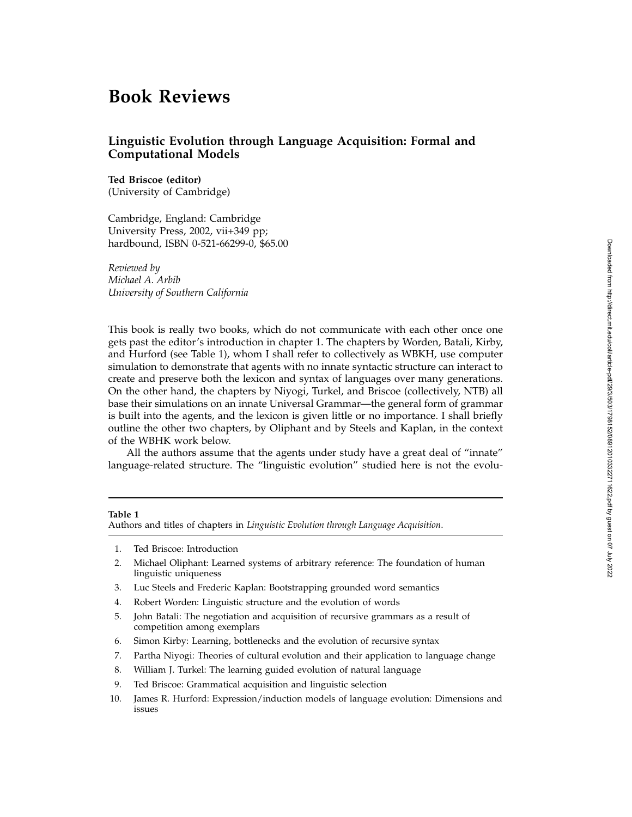# **Book Reviews**

# **Linguistic Evolution through Language Acquisition: Formal and Computational Models**

## **Ted Briscoe (editor)** (University of Cambridge)

Cambridge, England: Cambridge University Press, 2002, vii+349 pp; hardbound, ISBN 0-521-66299-0, \$65.00

*Reviewed by Michael A. Arbib University of Southern California*

This book is really two books, which do not communicate with each other once one gets past the editor's introduction in chapter 1. The chapters by Worden, Batali, Kirby, and Hurford (see Table 1), whom I shall refer to collectively as WBKH, use computer simulation to demonstrate that agents with no innate syntactic structure can interact to create and preserve both the lexicon and syntax of languages over many generations. On the other hand, the chapters by Niyogi, Turkel, and Briscoe (collectively, NTB) all base their simulations on an innate Universal Grammar—the general form of grammar is built into the agents, and the lexicon is given little or no importance. I shall briefly outline the other two chapters, by Oliphant and by Steels and Kaplan, in the context of the WBHK work below.

All the authors assume that the agents under study have a great deal of "innate" language-related structure. The "linguistic evolution" studied here is not the evolu-

### **Table 1**

Authors and titles of chapters in *Linguistic Evolution through Language Acquisition* .

- 1. Ted Briscoe: Introduction
- 2. Michael Oliphant: Learned systems of arbitrary reference: The foundation of human linguistic uniqueness
- 3. Luc Steels and Frederic Kaplan: Bootstrapping grounded word semantics
- 4. Robert Worden: Linguistic structure and the evolution of words
- 5. John Batali: The negotiation and acquisition of recursive grammars as a result of competition among exemplars
- 6. Simon Kirby: Learning, bottlenecks and the evolution of recursive syntax
- 7. Partha Niyogi: Theories of cultural evolution and their application to language change
- 8. William J. Turkel: The learning guided evolution of natural language
- 9. Ted Briscoe: Grammatical acquisition and linguistic selection
- 10. James R. Hurford: Expression/induction models of language evolution: Dimensions and issues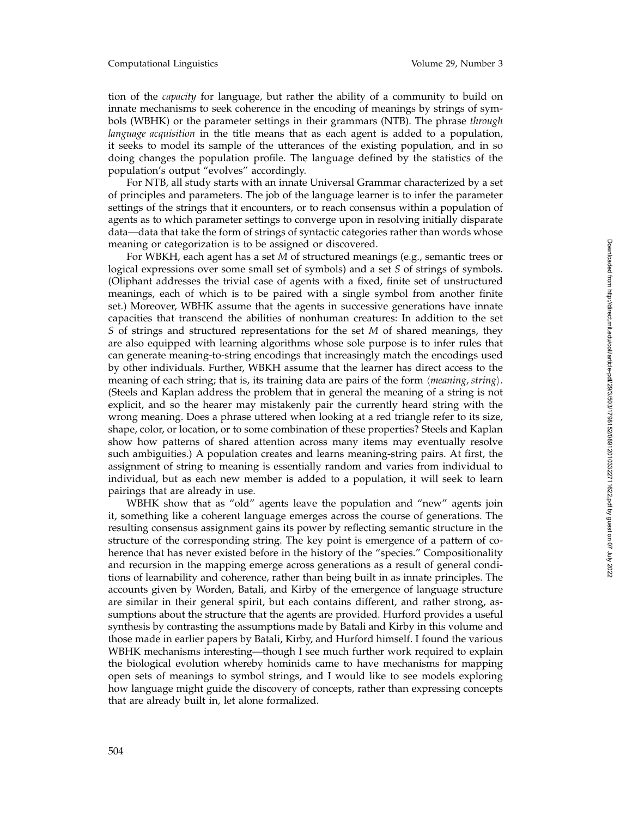tion of the *capacity* for language, but rather the ability of a community to build on innate mechanisms to seek coherence in the encoding of meanings by strings of symbols (WBHK) or the parameter settings in their grammars (NTB). The phrase *through language acquisition* in the title means that as each agent is added to a population, it seeks to model its sample of the utterances of the existing population, and in so doing changes the population profile. The language defined by the statistics of the population's output "evolves" accordingly.

For NTB, all study starts with an innate Universal Grammar characterized by a set of principles and parameters. The job of the language learner is to infer the parameter settings of the strings that it encounters, or to reach consensus within a population of agents as to which parameter settings to converge upon in resolving initially disparate data—data that take the form of strings of syntactic categories rather than words whose meaning or categorization is to be assigned or discovered.

For WBKH, each agent has a set *M* of structured meanings (e.g., semantic trees or logical expressions over some small set of symbols) and a set *S* of strings of symbols. (Oliphant addresses the trivial case of agents with a fixed, finite set of unstructured meanings, each of which is to be paired with a single symbol from another finite set.) Moreover, WBHK assume that the agents in successive generations have innate capacities that transcend the abilities of nonhuman creatures: In addition to the set *S* of strings and structured representations for the set *M* of shared meanings, they are also equipped with learning algorithms whose sole purpose is to infer rules that can generate meaning-to-string encodings that increasingly match the encodings used by other individuals. Further, WBKH assume that the learner has direct access to the meaning of each string; that is, its training data are pairs of the form *meaning, string* - . (Steels and Kaplan address the problem that in general the meaning of a string is not explicit, and so the hearer may mistakenly pair the currently heard string with the wrong meaning. Does a phrase uttered when looking at a red triangle refer to its size, shape, color, or location, or to some combination of these properties? Steels and Kaplan show how patterns of shared attention across many items may eventually resolve such ambiguities.) A population creates and learns meaning-string pairs. At first, the assignment of string to meaning is essentially random and varies from individual to individual, but as each new member is added to a population, it will seek to learn pairings that are already in use.

WBHK show that as "old" agents leave the population and "new" agents join it, something like a coherent language emerges across the course of generations. The resulting consensus assignment gains its power by reflecting semantic structure in the structure of the corresponding string. The key point is emergence of a pattern of coherence that has never existed before in the history of the "species." Compositionality and recursion in the mapping emerge across generations as a result of general conditions of learnability and coherence, rather than being built in as innate principles. The accounts given by Worden, Batali, and Kirby of the emergence of language structure are similar in their general spirit, but each contains different, and rather strong, assumptions about the structure that the agents are provided. Hurford provides a useful synthesis by contrasting the assumptions made by Batali and Kirby in this volume and those made in earlier papers by Batali, Kirby, and Hurford himself. I found the various WBHK mechanisms interesting—though I see much further work required to explain the biological evolution whereby hominids came to have mechanisms for mapping open sets of meanings to symbol strings, and I would like to see models exploring how language might guide the discovery of concepts, rather than expressing concepts that are already built in, let alone formalized.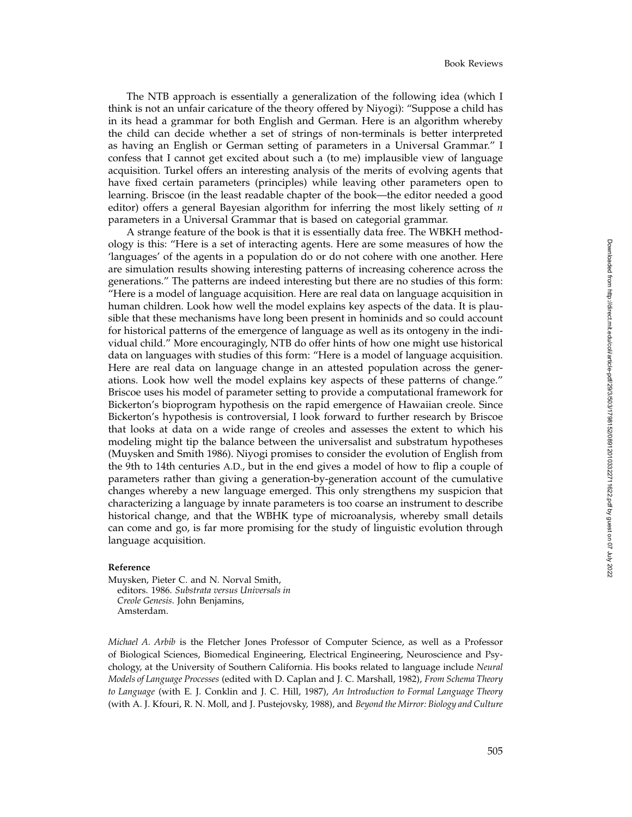The NTB approach is essentially a generalization of the following idea (which I think is not an unfair caricature of the theory offered by Niyogi): "Suppose a child has in its head a grammar for both English and German. Here is an algorithm whereby the child can decide whether a set of strings of non-terminals is better interpreted as having an English or German setting of parameters in a Universal Grammar." I confess that I cannot get excited about such a (to me) implausible view of language acquisition. Turkel offers an interesting analysis of the merits of evolving agents that have fixed certain parameters (principles) while leaving other parameters open to learning. Briscoe (in the least readable chapter of the book—the editor needed a good editor) offers a general Bayesian algorithm for inferring the most likely setting of *n* parameters in a Universal Grammar that is based on categorial grammar.

A strange feature of the book is that it is essentially data free. The WBKH methodology is this: "Here is a set of interacting agents. Here are some measures of how the 'languages' of the agents in a population do or do not cohere with one another. Here are simulation results showing interesting patterns of increasing coherence across the generations." The patterns are indeed interesting but there are no studies of this form: "Here is a model of language acquisition. Here are real data on language acquisition in human children. Look how well the model explains key aspects of the data. It is plausible that these mechanisms have long been present in hominids and so could account for historical patterns of the emergence of language as well as its ontogeny in the individual child." More encouragingly, NTB do offer hints of how one might use historical data on languages with studies of this form: "Here is a model of language acquisition. Here are real data on language change in an attested population across the generations. Look how well the model explains key aspects of these patterns of change." Briscoe uses his model of parameter setting to provide a computational framework for Bickerton's bioprogram hypothesis on the rapid emergence of Hawaiian creole. Since Bickerton's hypothesis is controversial, I look forward to further research by Briscoe that looks at data on a wide range of creoles and assesses the extent to which his modeling might tip the balance between the universalist and substratum hypotheses (Muysken and Smith 1986). Niyogi promises to consider the evolution of English from the 9th to 14th centuries A.D., but in the end gives a model of how to flip a couple of parameters rather than giving a generation-by-generation account of the cumulative changes whereby a new language emerged. This only strengthens my suspicion that characterizing a language by innate parameters is too coarse an instrument to describe historical change, and that the WBHK type of microanalysis, whereby small details can come and go, is far more promising for the study of linguistic evolution through language acquisition.

#### **Reference**

Muysken, Pieter C. and N. Norval Smith, editors. 1986. *Substrata versus Universals in Creole Genesis*. John Benjamins, Amsterdam.

*Michael A. Arbib* is the Fletcher Jones Professor of Computer Science, as well as a Professor of Biological Sciences, Biomedical Engineering, Electrical Engineering, Neuroscience and Psychology, at the University of Southern California. His books related to language include *Neural Models of Language Processes* (edited with D. Caplan and J. C. Marshall, 1982), *From Schema Theory to Language* (with E. J. Conklin and J. C. Hill, 1987), *An Introduction to Formal Language Theory* (with A. J. Kfouri, R. N. Moll, and J. Pustejovsky, 1988), and *Beyond the Mirror: Biology and Culture*